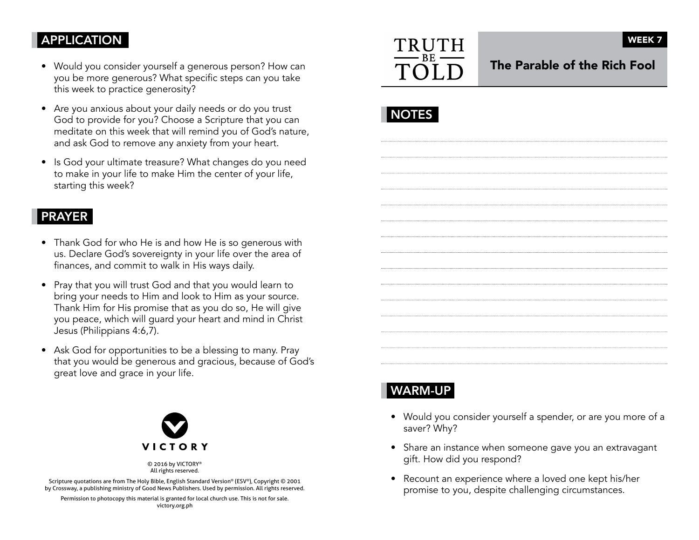# APPLICATION

- Would you consider yourself a generous person? How can you be more generous? What specific steps can you take this week to practice generosity?
- Are you anxious about your daily needs or do you trust God to provide for you? Choose a Scripture that you can meditate on this week that will remind you of God's nature, and ask God to remove any anxiety from your heart.
- Is God your ultimate treasure? What changes do you need to make in your life to make Him the center of your life, starting this week?

## PRAYER

- Thank God for who He is and how He is so generous with us. Declare God's sovereignty in your life over the area of finances, and commit to walk in His ways daily.
- Pray that you will trust God and that you would learn to bring your needs to Him and look to Him as your source. Thank Him for His promise that as you do so, He will give you peace, which will guard your heart and mind in Christ Jesus (Philippians 4:6,7).
- Ask God for opportunities to be a blessing to many. Pray that you would be generous and gracious, because of God's great love and grace in your life.



© 2016 by VICTORY® All rights reserved.

Scripture quotations are from The Holy Bible, English Standard Version® (ESV®), Copyright © 2001 by Crossway, a publishing ministry of Good News Publishers. Used by permission. All rights reserved.

Permission to photocopy this material is granted for local church use. This is not for sale. victory.org.ph



WEEK<sub>7</sub>

The Parable of the Rich Fool

|--|--|

# WARM-UP

- Would you consider yourself a spender, or are you more of a saver? Why?
- Share an instance when someone gave you an extravagant <sup>g</sup>ift. How did you respond?
- Recount an experience where a loved one kept his/her promise to you, despite challenging circumstances.